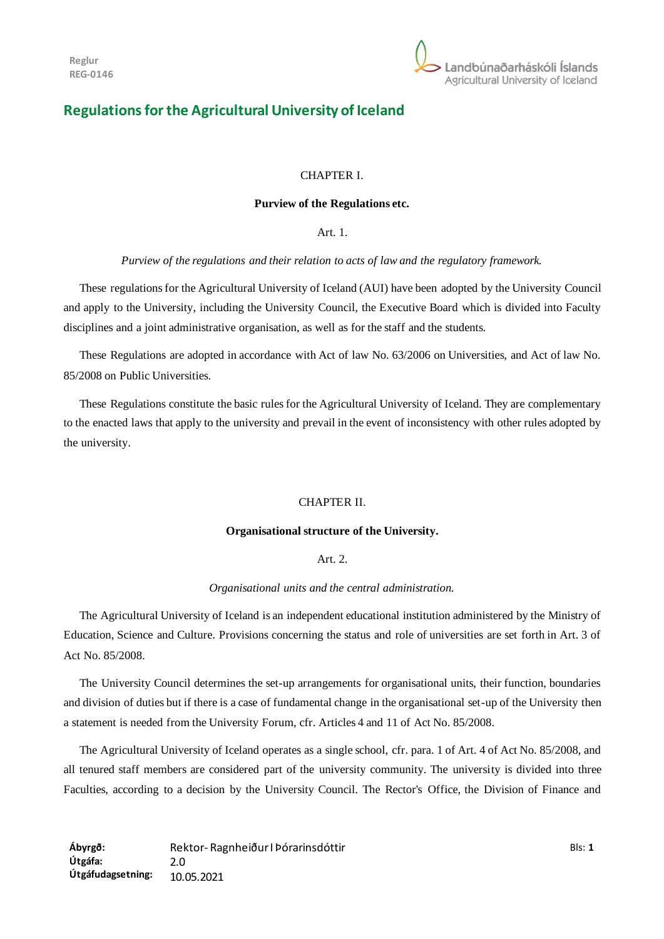

# **Regulations for the Agricultural University of Iceland**

#### CHAPTER I.

#### **Purview of the Regulations etc.**

Art. 1.

*Purview of the regulations and their relation to acts of law and the regulatory framework.*

These regulations for the Agricultural University of Iceland (AUI) have been adopted by the University Council and apply to the University, including the University Council, the Executive Board which is divided into Faculty disciplines and a joint administrative organisation, as well as for the staff and the students.

These Regulations are adopted in accordance with Act of law No. 63/2006 on Universities, and Act of law No. 85/2008 on Public Universities.

These Regulations constitute the basic rules for the Agricultural University of Iceland. They are complementary to the enacted laws that apply to the university and prevail in the event of inconsistency with other rules adopted by the university.

#### CHAPTER II.

### **Organisational structure of the University.**

#### Art. 2.

#### *Organisational units and the central administration.*

The Agricultural University of Iceland is an independent educational institution administered by the Ministry of Education, Science and Culture. Provisions concerning the status and role of universities are set forth in Art. 3 of Act No. 85/2008.

The University Council determines the set-up arrangements for organisational units, their function, boundaries and division of duties but if there is a case of fundamental change in the organisational set-up of the University then a statement is needed from the University Forum, cfr. Articles 4 and 11 of Act No. 85/2008.

The Agricultural University of Iceland operates as a single school, cfr. para. 1 of Art. 4 of Act No. 85/2008, and all tenured staff members are considered part of the university community. The university is divided into three Faculties, according to a decision by the University Council. The Rector's Office, the Division of Finance and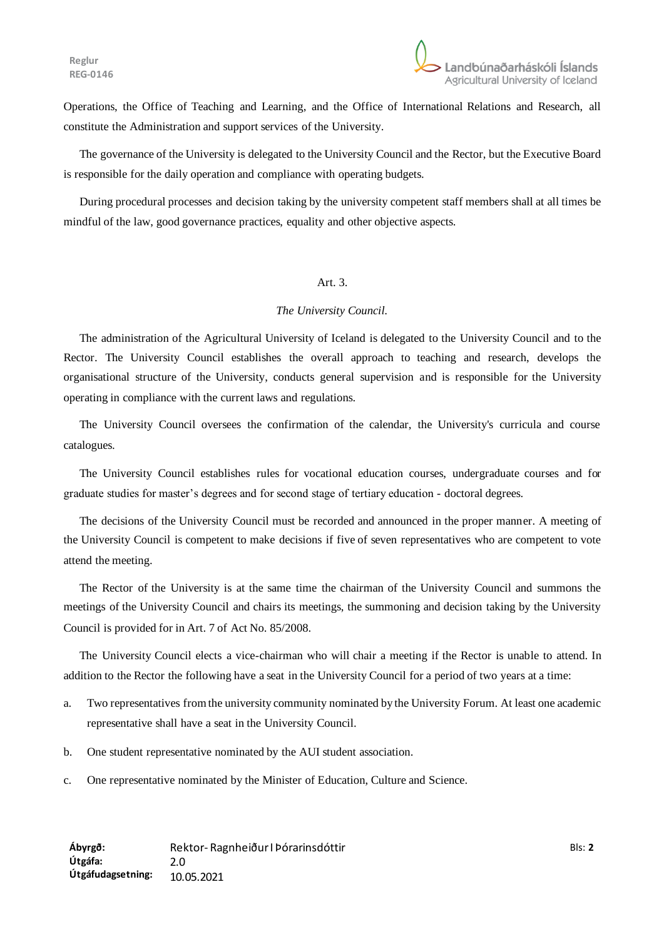Operations, the Office of Teaching and Learning, and the Office of International Relations and Research, all constitute the Administration and support services of the University.

The governance of the University is delegated to the University Council and the Rector, but the Executive Board is responsible for the daily operation and compliance with operating budgets.

During procedural processes and decision taking by the university competent staff members shall at all times be mindful of the law, good governance practices, equality and other objective aspects.

#### Art. 3.

#### *The University Council.*

The administration of the Agricultural University of Iceland is delegated to the University Council and to the Rector. The University Council establishes the overall approach to teaching and research, develops the organisational structure of the University, conducts general supervision and is responsible for the University operating in compliance with the current laws and regulations.

The University Council oversees the confirmation of the calendar, the University's curricula and course catalogues.

The University Council establishes rules for vocational education courses, undergraduate courses and for graduate studies for master's degrees and for second stage of tertiary education - doctoral degrees.

The decisions of the University Council must be recorded and announced in the proper manner. A meeting of the University Council is competent to make decisions if five of seven representatives who are competent to vote attend the meeting.

The Rector of the University is at the same time the chairman of the University Council and summons the meetings of the University Council and chairs its meetings, the summoning and decision taking by the University Council is provided for in Art. 7 of Act No. 85/2008.

The University Council elects a vice-chairman who will chair a meeting if the Rector is unable to attend. In addition to the Rector the following have a seat in the University Council for a period of two years at a time:

- a. Two representatives from the university community nominated by the University Forum. At least one academic representative shall have a seat in the University Council.
- b. One student representative nominated by the AUI student association.
- c. One representative nominated by the Minister of Education, Culture and Science.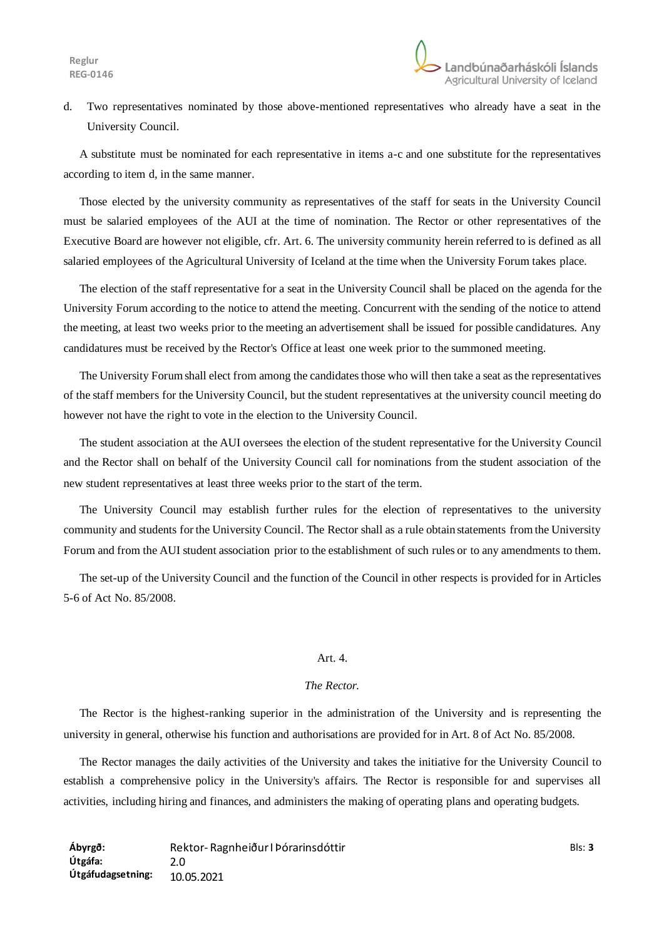d. Two representatives nominated by those above-mentioned representatives who already have a seat in the University Council.

A substitute must be nominated for each representative in items a-c and one substitute for the representatives according to item d, in the same manner.

Those elected by the university community as representatives of the staff for seats in the University Council must be salaried employees of the AUI at the time of nomination. The Rector or other representatives of the Executive Board are however not eligible, cfr. Art. 6. The university community herein referred to is defined as all salaried employees of the Agricultural University of Iceland at the time when the University Forum takes place.

The election of the staff representative for a seat in the University Council shall be placed on the agenda for the University Forum according to the notice to attend the meeting. Concurrent with the sending of the notice to attend the meeting, at least two weeks prior to the meeting an advertisement shall be issued for possible candidatures. Any candidatures must be received by the Rector's Office at least one week prior to the summoned meeting.

The University Forum shall elect from among the candidates those who will then take a seat as the representatives of the staff members for the University Council, but the student representatives at the university council meeting do however not have the right to vote in the election to the University Council.

The student association at the AUI oversees the election of the student representative for the University Council and the Rector shall on behalf of the University Council call for nominations from the student association of the new student representatives at least three weeks prior to the start of the term.

The University Council may establish further rules for the election of representatives to the university community and students for the University Council. The Rector shall as a rule obtain statements from the University Forum and from the AUI student association prior to the establishment of such rules or to any amendments to them.

The set-up of the University Council and the function of the Council in other respects is provided for in Articles 5-6 of Act No. 85/2008.

#### Art. 4.

### *The Rector.*

The Rector is the highest-ranking superior in the administration of the University and is representing the university in general, otherwise his function and authorisations are provided for in Art. 8 of Act No. 85/2008.

The Rector manages the daily activities of the University and takes the initiative for the University Council to establish a comprehensive policy in the University's affairs. The Rector is responsible for and supervises all activities, including hiring and finances, and administers the making of operating plans and operating budgets.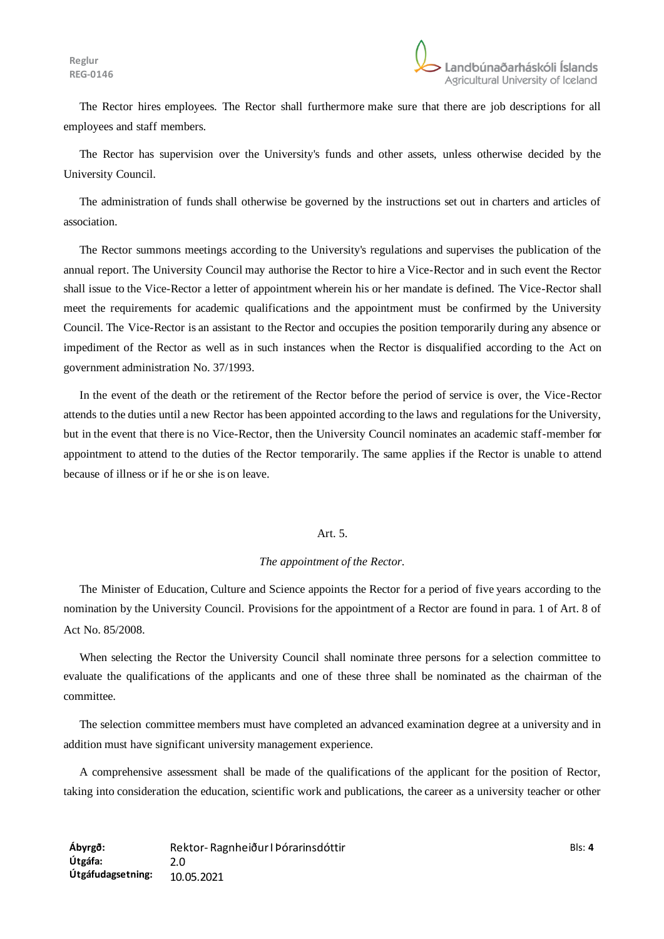The Rector hires employees. The Rector shall furthermore make sure that there are job descriptions for all employees and staff members.

The Rector has supervision over the University's funds and other assets, unless otherwise decided by the University Council.

The administration of funds shall otherwise be governed by the instructions set out in charters and articles of association.

The Rector summons meetings according to the University's regulations and supervises the publication of the annual report. The University Council may authorise the Rector to hire a Vice-Rector and in such event the Rector shall issue to the Vice-Rector a letter of appointment wherein his or her mandate is defined. The Vice-Rector shall meet the requirements for academic qualifications and the appointment must be confirmed by the University Council. The Vice-Rector is an assistant to the Rector and occupies the position temporarily during any absence or impediment of the Rector as well as in such instances when the Rector is disqualified according to the Act on government administration No. 37/1993.

In the event of the death or the retirement of the Rector before the period of service is over, the Vice-Rector attends to the duties until a new Rector has been appointed according to the laws and regulations for the University, but in the event that there is no Vice-Rector, then the University Council nominates an academic staff-member for appointment to attend to the duties of the Rector temporarily. The same applies if the Rector is unable to attend because of illness or if he or she is on leave.

### Art. 5.

### *The appointment of the Rector*.

The Minister of Education, Culture and Science appoints the Rector for a period of five years according to the nomination by the University Council. Provisions for the appointment of a Rector are found in para. 1 of Art. 8 of Act No. 85/2008.

When selecting the Rector the University Council shall nominate three persons for a selection committee to evaluate the qualifications of the applicants and one of these three shall be nominated as the chairman of the committee.

The selection committee members must have completed an advanced examination degree at a university and in addition must have significant university management experience.

A comprehensive assessment shall be made of the qualifications of the applicant for the position of Rector, taking into consideration the education, scientific work and publications, the career as a university teacher or other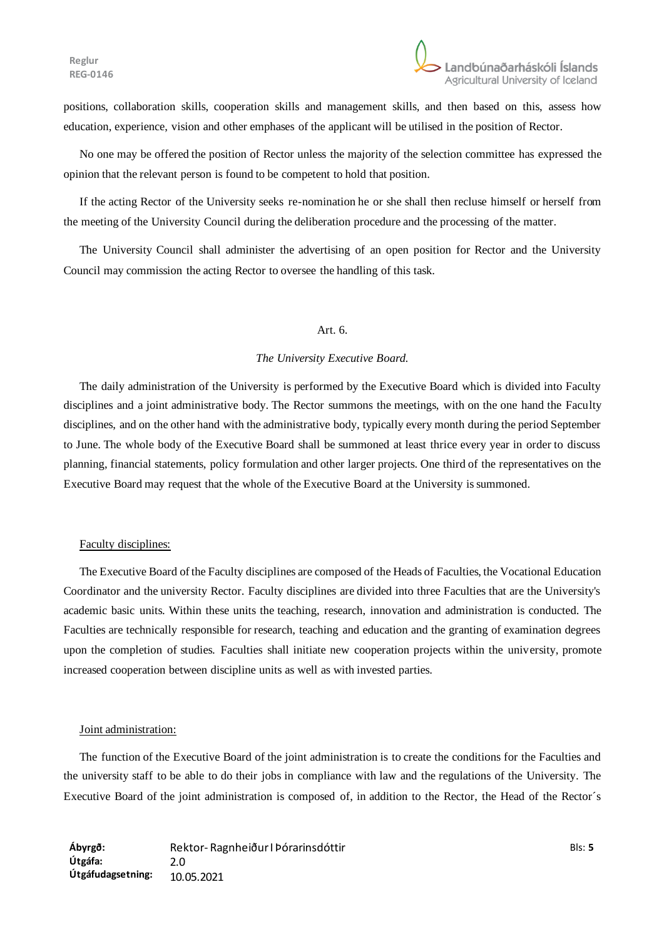positions, collaboration skills, cooperation skills and management skills, and then based on this, assess how education, experience, vision and other emphases of the applicant will be utilised in the position of Rector.

No one may be offered the position of Rector unless the majority of the selection committee has expressed the opinion that the relevant person is found to be competent to hold that position.

If the acting Rector of the University seeks re-nomination he or she shall then recluse himself or herself from the meeting of the University Council during the deliberation procedure and the processing of the matter.

The University Council shall administer the advertising of an open position for Rector and the University Council may commission the acting Rector to oversee the handling of this task.

### Art $6.6$

#### *The University Executive Board.*

The daily administration of the University is performed by the Executive Board which is divided into Faculty disciplines and a joint administrative body. The Rector summons the meetings, with on the one hand the Faculty disciplines, and on the other hand with the administrative body, typically every month during the period September to June. The whole body of the Executive Board shall be summoned at least thrice every year in order to discuss planning, financial statements, policy formulation and other larger projects. One third of the representatives on the Executive Board may request that the whole of the Executive Board at the University is summoned.

#### Faculty disciplines:

The Executive Board of the Faculty disciplines are composed of the Heads of Faculties, the Vocational Education Coordinator and the university Rector. Faculty disciplines are divided into three Faculties that are the University's academic basic units. Within these units the teaching, research, innovation and administration is conducted. The Faculties are technically responsible for research, teaching and education and the granting of examination degrees upon the completion of studies. Faculties shall initiate new cooperation projects within the university, promote increased cooperation between discipline units as well as with invested parties.

#### Joint administration:

The function of the Executive Board of the joint administration is to create the conditions for the Faculties and the university staff to be able to do their jobs in compliance with law and the regulations of the University. The Executive Board of the joint administration is composed of, in addition to the Rector, the Head of the Rector´s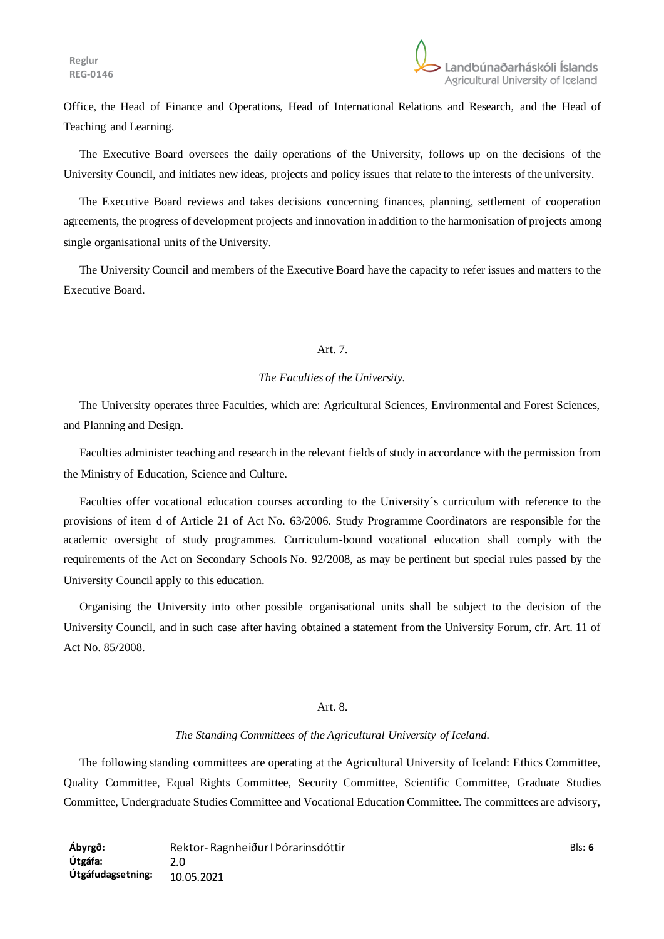Office, the Head of Finance and Operations, Head of International Relations and Research, and the Head of Teaching and Learning.

The Executive Board oversees the daily operations of the University, follows up on the decisions of the University Council, and initiates new ideas, projects and policy issues that relate to the interests of the university.

The Executive Board reviews and takes decisions concerning finances, planning, settlement of cooperation agreements, the progress of development projects and innovation in addition to the harmonisation of projects among single organisational units of the University.

The University Council and members of the Executive Board have the capacity to refer issues and matters to the Executive Board.

## Art. 7.

#### *The Faculties of the University.*

The University operates three Faculties, which are: Agricultural Sciences, Environmental and Forest Sciences, and Planning and Design.

Faculties administer teaching and research in the relevant fields of study in accordance with the permission from the Ministry of Education, Science and Culture.

Faculties offer vocational education courses according to the University´s curriculum with reference to the provisions of item d of Article 21 of Act No. 63/2006. Study Programme Coordinators are responsible for the academic oversight of study programmes. Curriculum-bound vocational education shall comply with the requirements of the Act on Secondary Schools No. 92/2008, as may be pertinent but special rules passed by the University Council apply to this education.

Organising the University into other possible organisational units shall be subject to the decision of the University Council, and in such case after having obtained a statement from the University Forum, cfr. Art. 11 of Act No. 85/2008.

#### Art. 8.

#### *The Standing Committees of the Agricultural University of Iceland.*

The following standing committees are operating at the Agricultural University of Iceland: Ethics Committee, Quality Committee, Equal Rights Committee, Security Committee, Scientific Committee, Graduate Studies Committee, Undergraduate Studies Committee and Vocational Education Committee. The committees are advisory,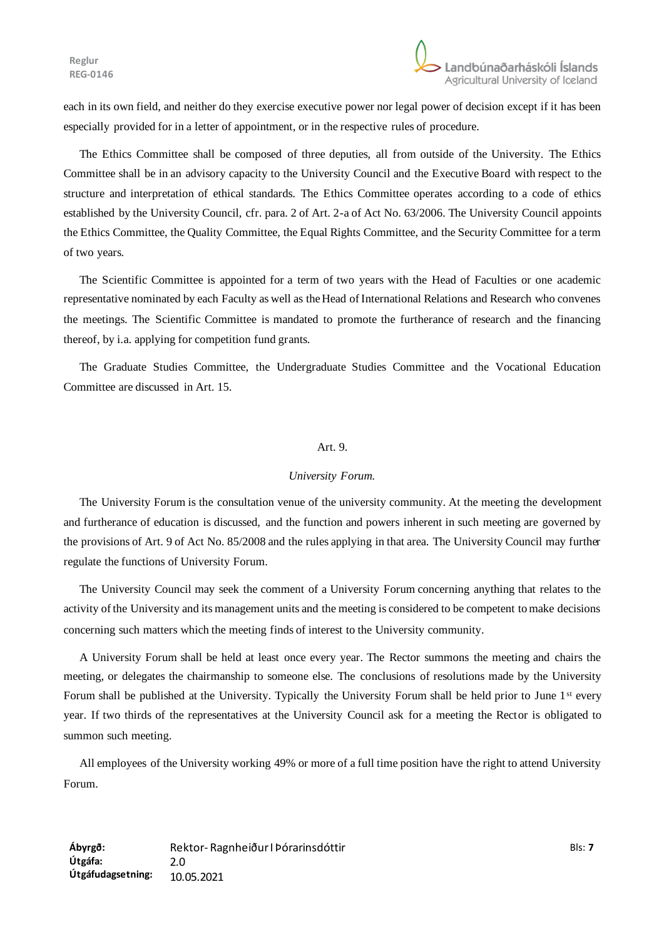each in its own field, and neither do they exercise executive power nor legal power of decision except if it has been especially provided for in a letter of appointment, or in the respective rules of procedure.

The Ethics Committee shall be composed of three deputies, all from outside of the University. The Ethics Committee shall be in an advisory capacity to the University Council and the Executive Board with respect to the structure and interpretation of ethical standards. The Ethics Committee operates according to a code of ethics established by the University Council, cfr. para. 2 of Art. 2-a of Act No. 63/2006. The University Council appoints the Ethics Committee, the Quality Committee, the Equal Rights Committee, and the Security Committee for a term of two years.

The Scientific Committee is appointed for a term of two years with the Head of Faculties or one academic representative nominated by each Faculty as well as the Head of International Relations and Research who convenes the meetings. The Scientific Committee is mandated to promote the furtherance of research and the financing thereof, by i.a. applying for competition fund grants.

The Graduate Studies Committee, the Undergraduate Studies Committee and the Vocational Education Committee are discussed in Art. 15.

### Art. 9.

### *University Forum.*

The University Forum is the consultation venue of the university community. At the meeting the development and furtherance of education is discussed, and the function and powers inherent in such meeting are governed by the provisions of Art. 9 of Act No. 85/2008 and the rules applying in that area. The University Council may further regulate the functions of University Forum.

The University Council may seek the comment of a University Forum concerning anything that relates to the activity of the University and its management units and the meeting is considered to be competent to make decisions concerning such matters which the meeting finds of interest to the University community.

A University Forum shall be held at least once every year. The Rector summons the meeting and chairs the meeting, or delegates the chairmanship to someone else. The conclusions of resolutions made by the University Forum shall be published at the University. Typically the University Forum shall be held prior to June 1<sup>st</sup> every year. If two thirds of the representatives at the University Council ask for a meeting the Rector is obligated to summon such meeting.

All employees of the University working 49% or more of a full time position have the right to attend University Forum.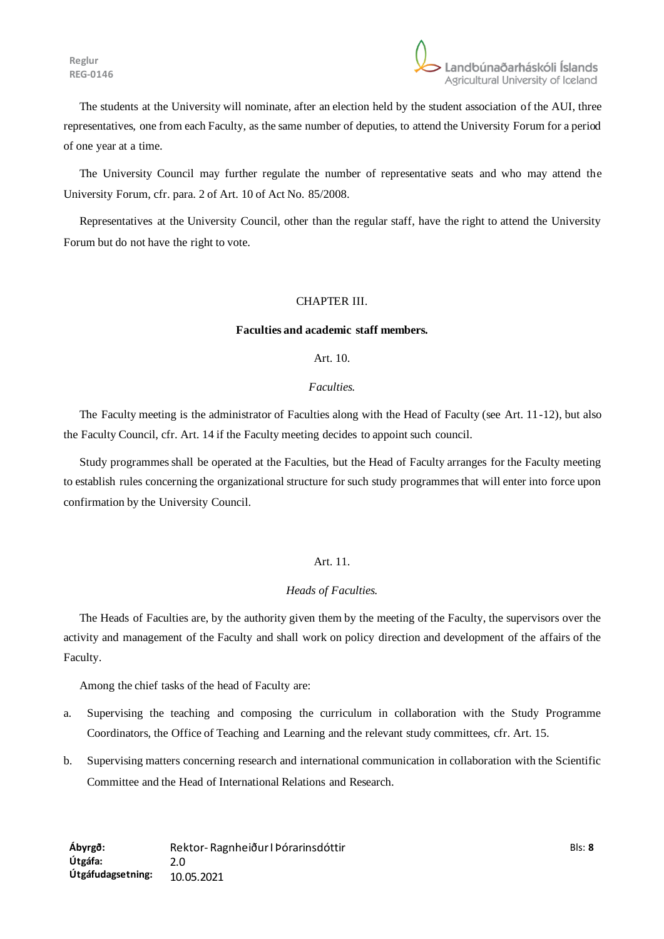

The students at the University will nominate, after an election held by the student association of the AUI, three representatives, one from each Faculty, as the same number of deputies, to attend the University Forum for a period of one year at a time.

The University Council may further regulate the number of representative seats and who may attend the University Forum, cfr. para. 2 of Art. 10 of Act No. 85/2008.

Representatives at the University Council, other than the regular staff, have the right to attend the University Forum but do not have the right to vote.

### CHAPTER III.

### **Faculties and academic staff members.**

Art. 10.

### *Faculties.*

The Faculty meeting is the administrator of Faculties along with the Head of Faculty (see Art. 11-12), but also the Faculty Council, cfr. Art. 14 if the Faculty meeting decides to appoint such council.

Study programmes shall be operated at the Faculties, but the Head of Faculty arranges for the Faculty meeting to establish rules concerning the organizational structure for such study programmes that will enter into force upon confirmation by the University Council.

### Art. 11.

### *Heads of Faculties.*

The Heads of Faculties are, by the authority given them by the meeting of the Faculty, the supervisors over the activity and management of the Faculty and shall work on policy direction and development of the affairs of the Faculty.

Among the chief tasks of the head of Faculty are:

- a. Supervising the teaching and composing the curriculum in collaboration with the Study Programme Coordinators, the Office of Teaching and Learning and the relevant study committees, cfr. Art. 15.
- b. Supervising matters concerning research and international communication in collaboration with the Scientific Committee and the Head of International Relations and Research.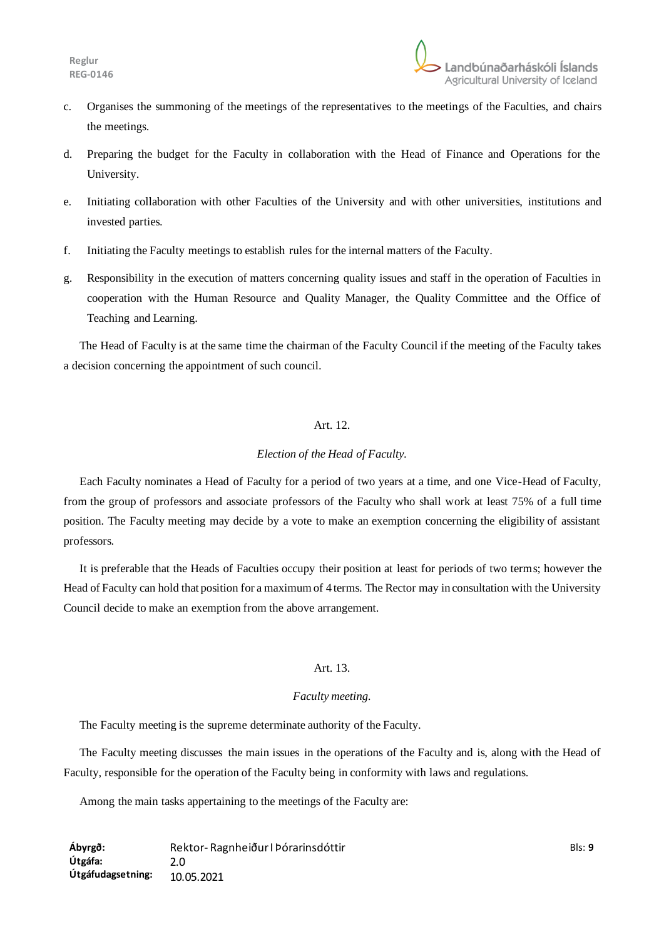- c. Organises the summoning of the meetings of the representatives to the meetings of the Faculties, and chairs the meetings.
- d. Preparing the budget for the Faculty in collaboration with the Head of Finance and Operations for the University.
- e. Initiating collaboration with other Faculties of the University and with other universities, institutions and invested parties.
- f. Initiating the Faculty meetings to establish rules for the internal matters of the Faculty.
- g. Responsibility in the execution of matters concerning quality issues and staff in the operation of Faculties in cooperation with the Human Resource and Quality Manager, the Quality Committee and the Office of Teaching and Learning.

The Head of Faculty is at the same time the chairman of the Faculty Council if the meeting of the Faculty takes a decision concerning the appointment of such council.

## Art. 12.

## *Election of the Head of Faculty.*

Each Faculty nominates a Head of Faculty for a period of two years at a time, and one Vice-Head of Faculty, from the group of professors and associate professors of the Faculty who shall work at least 75% of a full time position. The Faculty meeting may decide by a vote to make an exemption concerning the eligibility of assistant professors.

It is preferable that the Heads of Faculties occupy their position at least for periods of two terms; however the Head of Faculty can hold that position for a maximum of 4 terms. The Rector may in consultation with the University Council decide to make an exemption from the above arrangement.

# Art. 13.

## *Faculty meeting.*

The Faculty meeting is the supreme determinate authority of the Faculty.

The Faculty meeting discusses the main issues in the operations of the Faculty and is, along with the Head of Faculty, responsible for the operation of the Faculty being in conformity with laws and regulations.

Among the main tasks appertaining to the meetings of the Faculty are: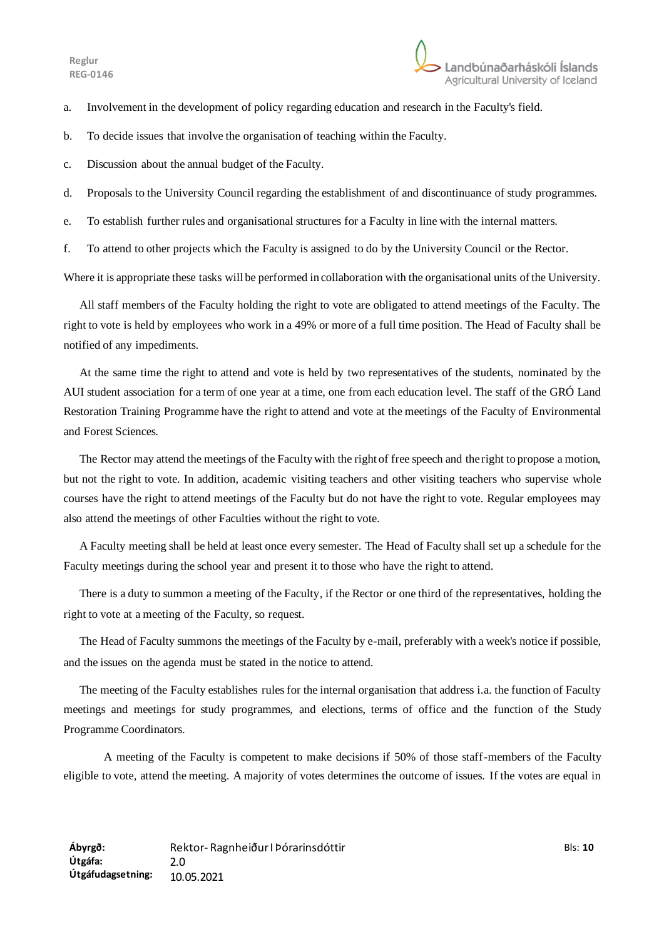- a. Involvement in the development of policy regarding education and research in the Faculty's field.
- b. To decide issues that involve the organisation of teaching within the Faculty.
- c. Discussion about the annual budget of the Faculty.
- d. Proposals to the University Council regarding the establishment of and discontinuance of study programmes.
- e. To establish further rules and organisational structures for a Faculty in line with the internal matters.
- f. To attend to other projects which the Faculty is assigned to do by the University Council or the Rector.

Where it is appropriate these tasks will be performed in collaboration with the organisational units of the University.

All staff members of the Faculty holding the right to vote are obligated to attend meetings of the Faculty. The right to vote is held by employees who work in a 49% or more of a full time position. The Head of Faculty shall be notified of any impediments.

At the same time the right to attend and vote is held by two representatives of the students, nominated by the AUI student association for a term of one year at a time, one from each education level. The staff of the GRÓ Land Restoration Training Programme have the right to attend and vote at the meetings of the Faculty of Environmental and Forest Sciences.

The Rector may attend the meetings of the Faculty with the right of free speech and the right to propose a motion, but not the right to vote. In addition, academic visiting teachers and other visiting teachers who supervise whole courses have the right to attend meetings of the Faculty but do not have the right to vote. Regular employees may also attend the meetings of other Faculties without the right to vote.

A Faculty meeting shall be held at least once every semester. The Head of Faculty shall set up a schedule for the Faculty meetings during the school year and present it to those who have the right to attend.

There is a duty to summon a meeting of the Faculty, if the Rector or one third of the representatives, holding the right to vote at a meeting of the Faculty, so request.

The Head of Faculty summons the meetings of the Faculty by e-mail, preferably with a week's notice if possible, and the issues on the agenda must be stated in the notice to attend.

The meeting of the Faculty establishes rules for the internal organisation that address i.a. the function of Faculty meetings and meetings for study programmes, and elections, terms of office and the function of the Study Programme Coordinators.

A meeting of the Faculty is competent to make decisions if 50% of those staff-members of the Faculty eligible to vote, attend the meeting. A majority of votes determines the outcome of issues. If the votes are equal in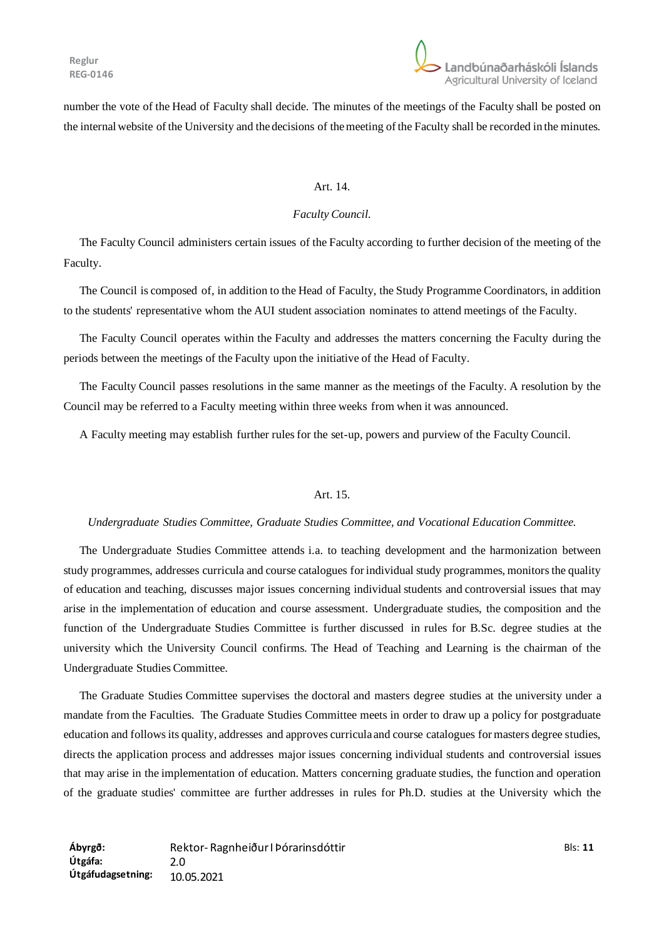

number the vote of the Head of Faculty shall decide. The minutes of the meetings of the Faculty shall be posted on the internal website of the University and the decisions of the meeting of the Faculty shall be recorded in the minutes.

#### Art. 14.

#### *Faculty Council.*

The Faculty Council administers certain issues of the Faculty according to further decision of the meeting of the Faculty.

The Council is composed of, in addition to the Head of Faculty, the Study Programme Coordinators, in addition to the students' representative whom the AUI student association nominates to attend meetings of the Faculty.

The Faculty Council operates within the Faculty and addresses the matters concerning the Faculty during the periods between the meetings of the Faculty upon the initiative of the Head of Faculty.

The Faculty Council passes resolutions in the same manner as the meetings of the Faculty. A resolution by the Council may be referred to a Faculty meeting within three weeks from when it was announced.

A Faculty meeting may establish further rules for the set-up, powers and purview of the Faculty Council.

#### Art. 15.

## *Undergraduate Studies Committee, Graduate Studies Committee, and Vocational Education Committee.*

The Undergraduate Studies Committee attends i.a. to teaching development and the harmonization between study programmes, addresses curricula and course catalogues for individual study programmes, monitors the quality of education and teaching, discusses major issues concerning individual students and controversial issues that may arise in the implementation of education and course assessment. Undergraduate studies, the composition and the function of the Undergraduate Studies Committee is further discussed in rules for B.Sc. degree studies at the university which the University Council confirms. The Head of Teaching and Learning is the chairman of the Undergraduate Studies Committee.

The Graduate Studies Committee supervises the doctoral and masters degree studies at the university under a mandate from the Faculties. The Graduate Studies Committee meets in order to draw up a policy for postgraduate education and follows its quality, addresses and approves curricula and course catalogues for masters degree studies, directs the application process and addresses major issues concerning individual students and controversial issues that may arise in the implementation of education. Matters concerning graduate studies, the function and operation of the graduate studies' committee are further addresses in rules for Ph.D. studies at the University which the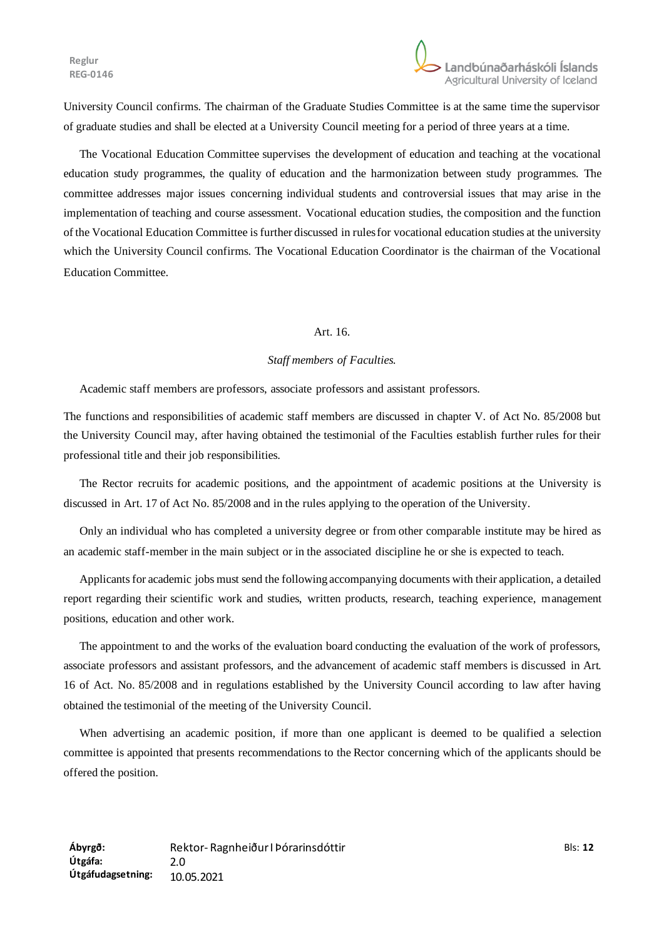University Council confirms. The chairman of the Graduate Studies Committee is at the same time the supervisor of graduate studies and shall be elected at a University Council meeting for a period of three years at a time.

The Vocational Education Committee supervises the development of education and teaching at the vocational education study programmes, the quality of education and the harmonization between study programmes. The committee addresses major issues concerning individual students and controversial issues that may arise in the implementation of teaching and course assessment. Vocational education studies, the composition and the function of the Vocational Education Committee is further discussed in rules for vocational education studies at the university which the University Council confirms. The Vocational Education Coordinator is the chairman of the Vocational Education Committee.

#### Art. 16.

### *Staff members of Faculties.*

Academic staff members are professors, associate professors and assistant professors.

The functions and responsibilities of academic staff members are discussed in chapter V. of Act No. 85/2008 but the University Council may, after having obtained the testimonial of the Faculties establish further rules for their professional title and their job responsibilities.

The Rector recruits for academic positions, and the appointment of academic positions at the University is discussed in Art. 17 of Act No. 85/2008 and in the rules applying to the operation of the University.

Only an individual who has completed a university degree or from other comparable institute may be hired as an academic staff-member in the main subject or in the associated discipline he or she is expected to teach.

Applicants for academic jobs must send the following accompanying documents with their application, a detailed report regarding their scientific work and studies, written products, research, teaching experience, management positions, education and other work.

The appointment to and the works of the evaluation board conducting the evaluation of the work of professors, associate professors and assistant professors, and the advancement of academic staff members is discussed in Art. 16 of Act. No. 85/2008 and in regulations established by the University Council according to law after having obtained the testimonial of the meeting of the University Council.

When advertising an academic position, if more than one applicant is deemed to be qualified a selection committee is appointed that presents recommendations to the Rector concerning which of the applicants should be offered the position.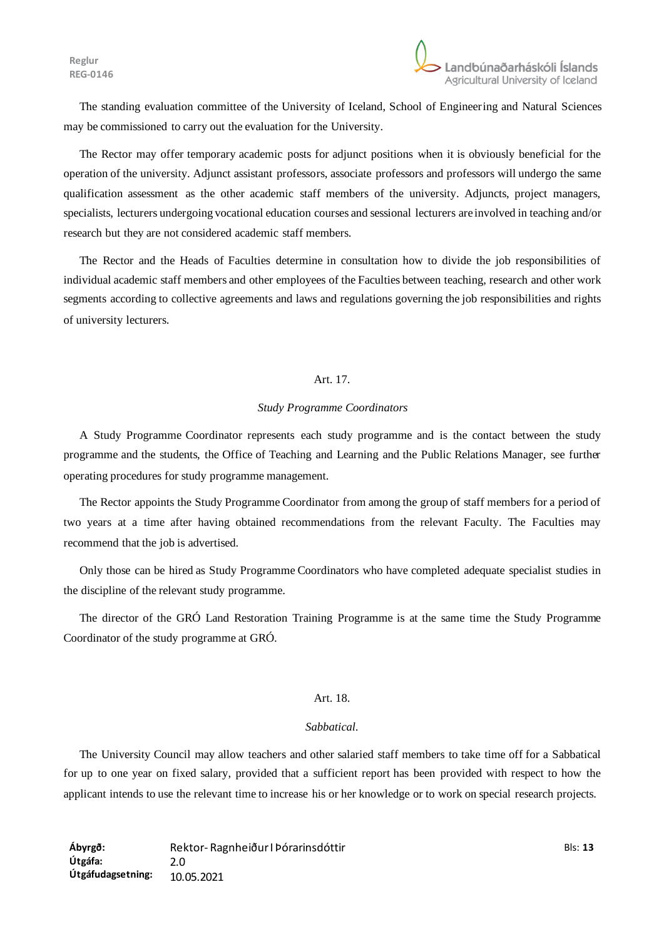The standing evaluation committee of the University of Iceland, School of Engineering and Natural Sciences may be commissioned to carry out the evaluation for the University.

The Rector may offer temporary academic posts for adjunct positions when it is obviously beneficial for the operation of the university. Adjunct assistant professors, associate professors and professors will undergo the same qualification assessment as the other academic staff members of the university. Adjuncts, project managers, specialists, lecturers undergoing vocational education courses and sessional lecturers are involved in teaching and/or research but they are not considered academic staff members.

The Rector and the Heads of Faculties determine in consultation how to divide the job responsibilities of individual academic staff members and other employees of the Faculties between teaching, research and other work segments according to collective agreements and laws and regulations governing the job responsibilities and rights of university lecturers.

### Art. 17.

#### *Study Programme Coordinators*

A Study Programme Coordinator represents each study programme and is the contact between the study programme and the students, the Office of Teaching and Learning and the Public Relations Manager, see further operating procedures for study programme management.

The Rector appoints the Study Programme Coordinator from among the group of staff members for a period of two years at a time after having obtained recommendations from the relevant Faculty. The Faculties may recommend that the job is advertised.

Only those can be hired as Study Programme Coordinators who have completed adequate specialist studies in the discipline of the relevant study programme.

The director of the GRÓ Land Restoration Training Programme is at the same time the Study Programme Coordinator of the study programme at GRÓ.

### Art. 18.

## *Sabbatical.*

The University Council may allow teachers and other salaried staff members to take time off for a Sabbatical for up to one year on fixed salary, provided that a sufficient report has been provided with respect to how the applicant intends to use the relevant time to increase his or her knowledge or to work on special research projects.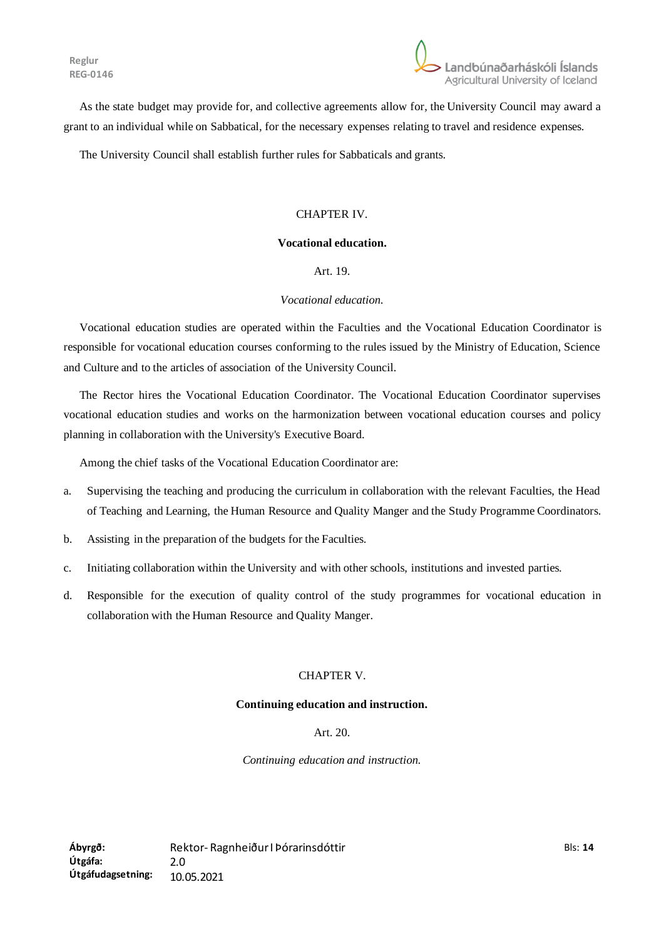

As the state budget may provide for, and collective agreements allow for, the University Council may award a grant to an individual while on Sabbatical, for the necessary expenses relating to travel and residence expenses.

The University Council shall establish further rules for Sabbaticals and grants.

## CHAPTER IV.

## **Vocational education.**

Art. 19.

### *Vocational education.*

Vocational education studies are operated within the Faculties and the Vocational Education Coordinator is responsible for vocational education courses conforming to the rules issued by the Ministry of Education, Science and Culture and to the articles of association of the University Council.

The Rector hires the Vocational Education Coordinator. The Vocational Education Coordinator supervises vocational education studies and works on the harmonization between vocational education courses and policy planning in collaboration with the University's Executive Board.

Among the chief tasks of the Vocational Education Coordinator are:

- a. Supervising the teaching and producing the curriculum in collaboration with the relevant Faculties, the Head of Teaching and Learning, the Human Resource and Quality Manger and the Study Programme Coordinators.
- b. Assisting in the preparation of the budgets for the Faculties.
- c. Initiating collaboration within the University and with other schools, institutions and invested parties.
- d. Responsible for the execution of quality control of the study programmes for vocational education in collaboration with the Human Resource and Quality Manger.

### CHAPTER V.

#### **Continuing education and instruction.**

## Art. 20.

*Continuing education and instruction.*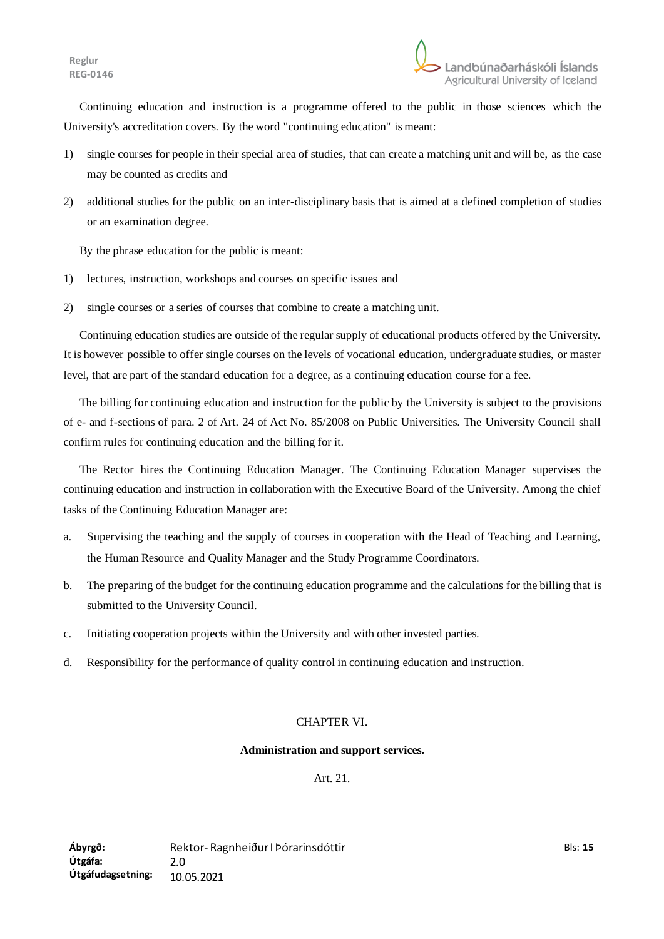Continuing education and instruction is a programme offered to the public in those sciences which the University's accreditation covers. By the word "continuing education" is meant:

- 1) single courses for people in their special area of studies, that can create a matching unit and will be, as the case may be counted as credits and
- 2) additional studies for the public on an inter-disciplinary basis that is aimed at a defined completion of studies or an examination degree.

By the phrase education for the public is meant:

- 1) lectures, instruction, workshops and courses on specific issues and
- 2) single courses or a series of courses that combine to create a matching unit.

Continuing education studies are outside of the regular supply of educational products offered by the University. It is however possible to offer single courses on the levels of vocational education, undergraduate studies, or master level, that are part of the standard education for a degree, as a continuing education course for a fee.

The billing for continuing education and instruction for the public by the University is subject to the provisions of e- and f-sections of para. 2 of Art. 24 of Act No. 85/2008 on Public Universities. The University Council shall confirm rules for continuing education and the billing for it.

The Rector hires the Continuing Education Manager. The Continuing Education Manager supervises the continuing education and instruction in collaboration with the Executive Board of the University. Among the chief tasks of the Continuing Education Manager are:

- a. Supervising the teaching and the supply of courses in cooperation with the Head of Teaching and Learning, the Human Resource and Quality Manager and the Study Programme Coordinators.
- b. The preparing of the budget for the continuing education programme and the calculations for the billing that is submitted to the University Council.
- c. Initiating cooperation projects within the University and with other invested parties.
- d. Responsibility for the performance of quality control in continuing education and instruction.

## CHAPTER VI.

### **Administration and support services.**

Art. 21.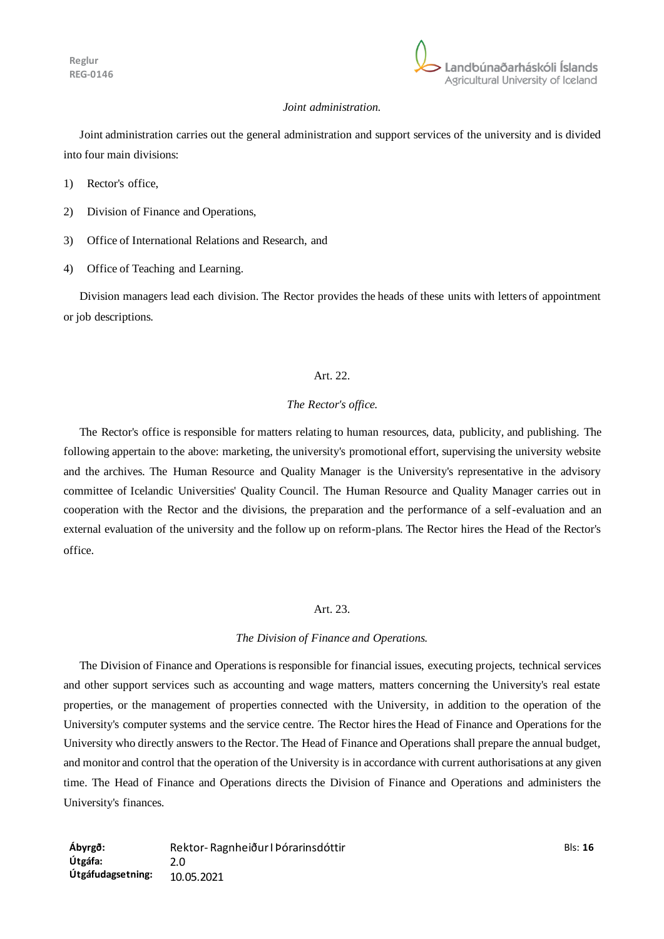

### *Joint administration.*

Joint administration carries out the general administration and support services of the university and is divided into four main divisions:

- 1) Rector's office,
- 2) Division of Finance and Operations,
- 3) Office of International Relations and Research, and
- 4) Office of Teaching and Learning.

Division managers lead each division. The Rector provides the heads of these units with letters of appointment or job descriptions.

## Art. 22.

### *The Rector's office.*

The Rector's office is responsible for matters relating to human resources, data, publicity, and publishing. The following appertain to the above: marketing, the university's promotional effort, supervising the university website and the archives. The Human Resource and Quality Manager is the University's representative in the advisory committee of Icelandic Universities' Quality Council. The Human Resource and Quality Manager carries out in cooperation with the Rector and the divisions, the preparation and the performance of a self-evaluation and an external evaluation of the university and the follow up on reform-plans. The Rector hires the Head of the Rector's office.

#### Art. 23.

#### *The Division of Finance and Operations.*

The Division of Finance and Operations is responsible for financial issues, executing projects, technical services and other support services such as accounting and wage matters, matters concerning the University's real estate properties, or the management of properties connected with the University, in addition to the operation of the University's computer systems and the service centre. The Rector hires the Head of Finance and Operations for the University who directly answers to the Rector. The Head of Finance and Operations shall prepare the annual budget, and monitor and control that the operation of the University is in accordance with current authorisations at any given time. The Head of Finance and Operations directs the Division of Finance and Operations and administers the University's finances.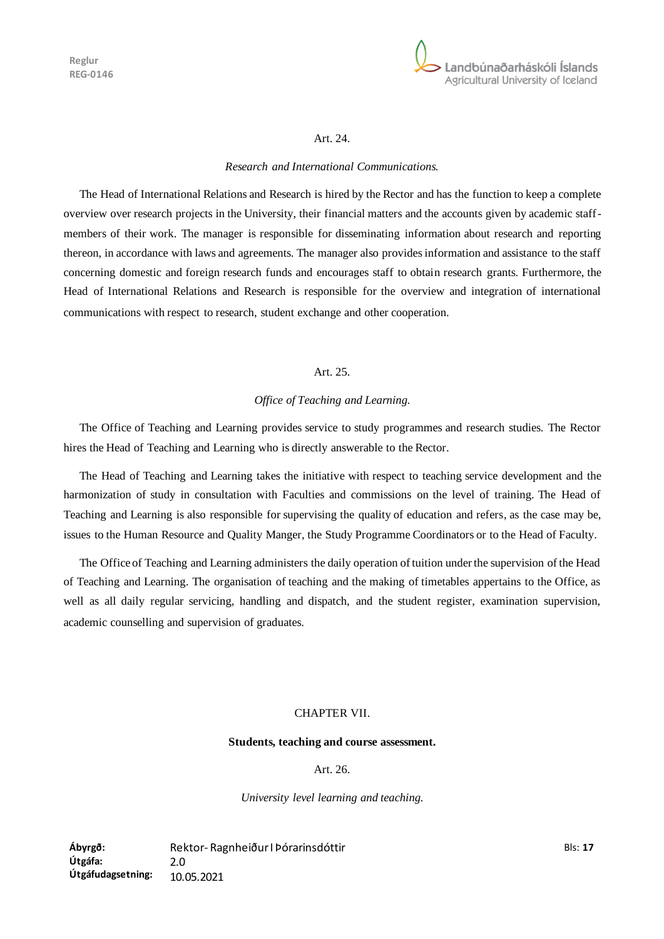

#### Art. 24.

#### *Research and International Communications.*

The Head of International Relations and Research is hired by the Rector and has the function to keep a complete overview over research projects in the University, their financial matters and the accounts given by academic staffmembers of their work. The manager is responsible for disseminating information about research and reporting thereon, in accordance with laws and agreements. The manager also provides information and assistance to the staff concerning domestic and foreign research funds and encourages staff to obtain research grants. Furthermore, the Head of International Relations and Research is responsible for the overview and integration of international communications with respect to research, student exchange and other cooperation.

### Art. 25.

#### *Office of Teaching and Learning.*

The Office of Teaching and Learning provides service to study programmes and research studies. The Rector hires the Head of Teaching and Learning who is directly answerable to the Rector.

The Head of Teaching and Learning takes the initiative with respect to teaching service development and the harmonization of study in consultation with Faculties and commissions on the level of training. The Head of Teaching and Learning is also responsible for supervising the quality of education and refers, as the case may be, issues to the Human Resource and Quality Manger, the Study Programme Coordinators or to the Head of Faculty.

The Office of Teaching and Learning administers the daily operation of tuition under the supervision of the Head of Teaching and Learning. The organisation of teaching and the making of timetables appertains to the Office, as well as all daily regular servicing, handling and dispatch, and the student register, examination supervision, academic counselling and supervision of graduates.

#### CHAPTER VII.

#### **Students, teaching and course assessment.**

Art. 26.

*University level learning and teaching.*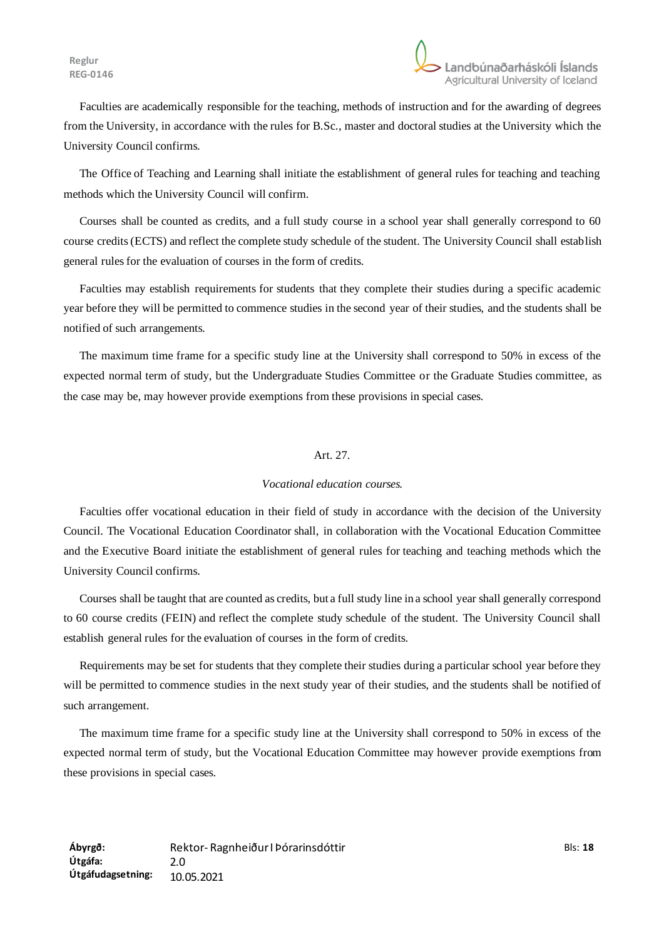Faculties are academically responsible for the teaching, methods of instruction and for the awarding of degrees from the University, in accordance with the rules for B.Sc., master and doctoral studies at the University which the University Council confirms.

The Office of Teaching and Learning shall initiate the establishment of general rules for teaching and teaching methods which the University Council will confirm.

Courses shall be counted as credits, and a full study course in a school year shall generally correspond to 60 course credits (ECTS) and reflect the complete study schedule of the student. The University Council shall establish general rules for the evaluation of courses in the form of credits.

Faculties may establish requirements for students that they complete their studies during a specific academic year before they will be permitted to commence studies in the second year of their studies, and the students shall be notified of such arrangements.

The maximum time frame for a specific study line at the University shall correspond to 50% in excess of the expected normal term of study, but the Undergraduate Studies Committee or the Graduate Studies committee, as the case may be, may however provide exemptions from these provisions in special cases.

## Art. 27.

## *Vocational education courses.*

Faculties offer vocational education in their field of study in accordance with the decision of the University Council. The Vocational Education Coordinator shall, in collaboration with the Vocational Education Committee and the Executive Board initiate the establishment of general rules for teaching and teaching methods which the University Council confirms.

Courses shall be taught that are counted as credits, but a full study line in a school year shall generally correspond to 60 course credits (FEIN) and reflect the complete study schedule of the student. The University Council shall establish general rules for the evaluation of courses in the form of credits.

Requirements may be set for students that they complete their studies during a particular school year before they will be permitted to commence studies in the next study year of their studies, and the students shall be notified of such arrangement.

The maximum time frame for a specific study line at the University shall correspond to 50% in excess of the expected normal term of study, but the Vocational Education Committee may however provide exemptions from these provisions in special cases.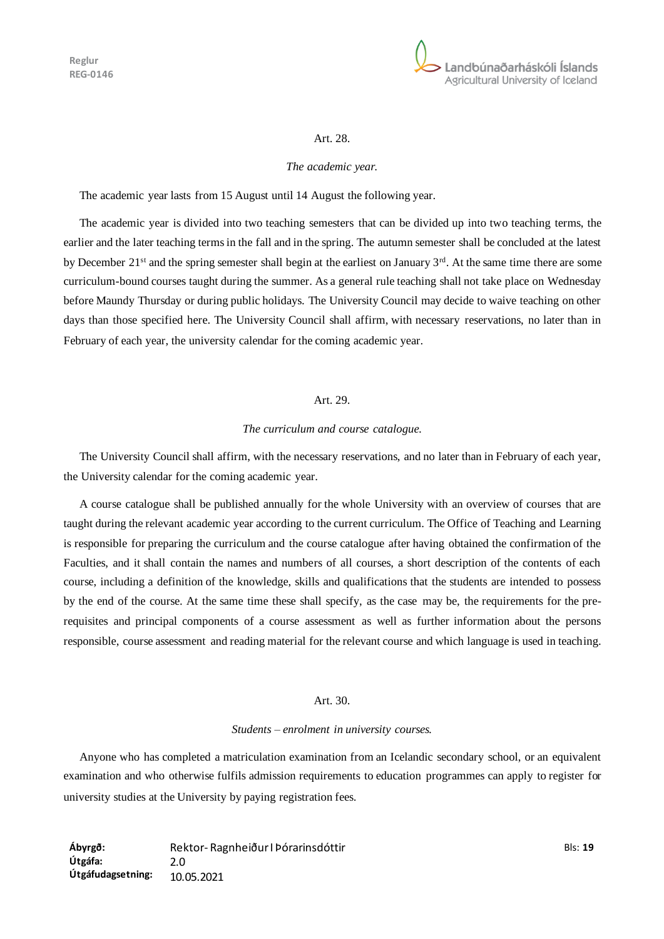

#### Art. 28.

#### *The academic year.*

The academic year lasts from 15 August until 14 August the following year.

The academic year is divided into two teaching semesters that can be divided up into two teaching terms, the earlier and the later teaching terms in the fall and in the spring. The autumn semester shall be concluded at the latest by December 21<sup>st</sup> and the spring semester shall begin at the earliest on January 3<sup>rd</sup>. At the same time there are some curriculum-bound courses taught during the summer. As a general rule teaching shall not take place on Wednesday before Maundy Thursday or during public holidays. The University Council may decide to waive teaching on other days than those specified here. The University Council shall affirm, with necessary reservations, no later than in February of each year, the university calendar for the coming academic year.

### Art. 29.

#### *The curriculum and course catalogue.*

The University Council shall affirm, with the necessary reservations, and no later than in February of each year, the University calendar for the coming academic year.

A course catalogue shall be published annually for the whole University with an overview of courses that are taught during the relevant academic year according to the current curriculum. The Office of Teaching and Learning is responsible for preparing the curriculum and the course catalogue after having obtained the confirmation of the Faculties, and it shall contain the names and numbers of all courses, a short description of the contents of each course, including a definition of the knowledge, skills and qualifications that the students are intended to possess by the end of the course. At the same time these shall specify, as the case may be, the requirements for the prerequisites and principal components of a course assessment as well as further information about the persons responsible, course assessment and reading material for the relevant course and which language is used in teaching.

#### Art. 30.

#### *Students – enrolment in university courses.*

Anyone who has completed a matriculation examination from an Icelandic secondary school, or an equivalent examination and who otherwise fulfils admission requirements to education programmes can apply to register for university studies at the University by paying registration fees.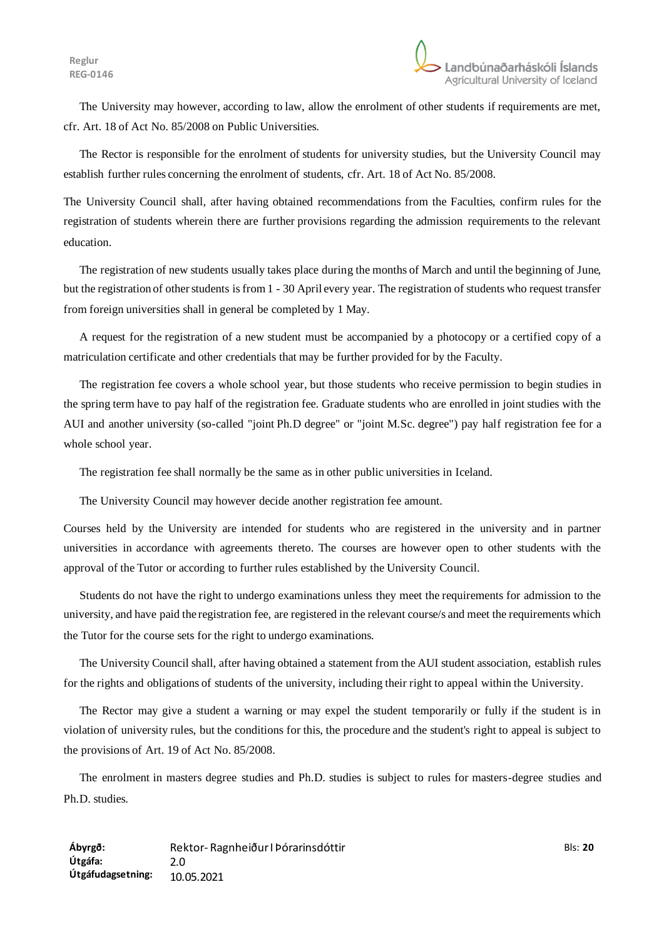The University may however, according to law, allow the enrolment of other students if requirements are met, cfr. Art. 18 of Act No. 85/2008 on Public Universities.

The Rector is responsible for the enrolment of students for university studies, but the University Council may establish further rules concerning the enrolment of students, cfr. Art. 18 of Act No. 85/2008.

The University Council shall, after having obtained recommendations from the Faculties, confirm rules for the registration of students wherein there are further provisions regarding the admission requirements to the relevant education.

The registration of new students usually takes place during the months of March and until the beginning of June, but the registration of other students is from 1 - 30 April every year. The registration of students who request transfer from foreign universities shall in general be completed by 1 May.

A request for the registration of a new student must be accompanied by a photocopy or a certified copy of a matriculation certificate and other credentials that may be further provided for by the Faculty.

The registration fee covers a whole school year, but those students who receive permission to begin studies in the spring term have to pay half of the registration fee. Graduate students who are enrolled in joint studies with the AUI and another university (so-called "joint Ph.D degree" or "joint M.Sc. degree") pay half registration fee for a whole school year.

The registration fee shall normally be the same as in other public universities in Iceland.

The University Council may however decide another registration fee amount.

Courses held by the University are intended for students who are registered in the university and in partner universities in accordance with agreements thereto. The courses are however open to other students with the approval of the Tutor or according to further rules established by the University Council.

Students do not have the right to undergo examinations unless they meet the requirements for admission to the university, and have paid the registration fee, are registered in the relevant course/s and meet the requirements which the Tutor for the course sets for the right to undergo examinations.

The University Council shall, after having obtained a statement from the AUI student association, establish rules for the rights and obligations of students of the university, including their right to appeal within the University.

The Rector may give a student a warning or may expel the student temporarily or fully if the student is in violation of university rules, but the conditions for this, the procedure and the student's right to appeal is subject to the provisions of Art. 19 of Act No. 85/2008.

The enrolment in masters degree studies and Ph.D. studies is subject to rules for masters-degree studies and Ph.D. studies.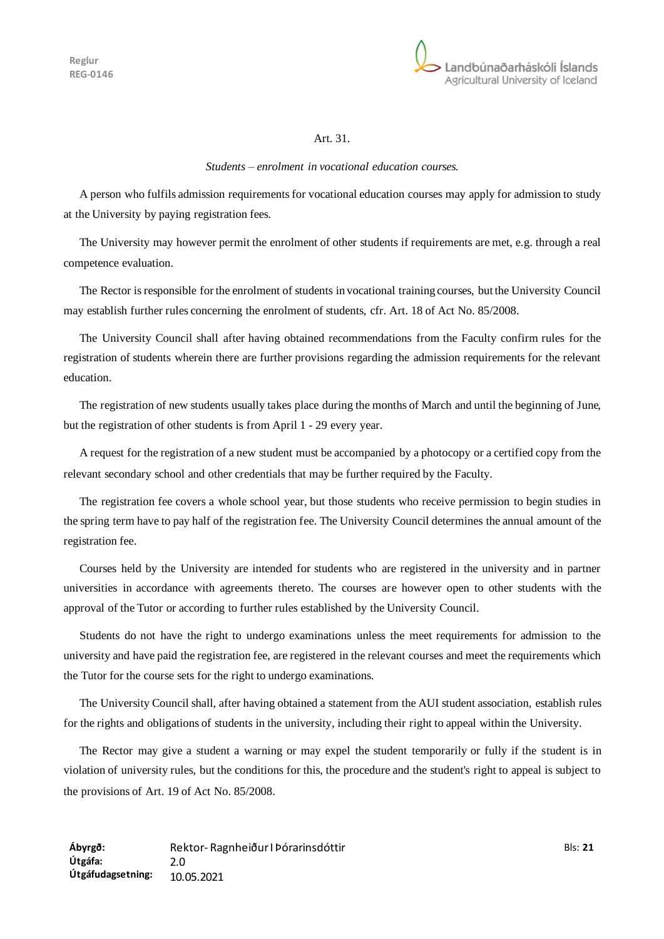

## Art. 31.

#### *Students – enrolment in vocational education courses.*

A person who fulfils admission requirements for vocational education courses may apply for admission to study at the University by paying registration fees.

The University may however permit the enrolment of other students if requirements are met, e.g. through a real competence evaluation.

The Rector is responsible for the enrolment of students in vocational training courses, but the University Council may establish further rules concerning the enrolment of students, cfr. Art. 18 of Act No. 85/2008.

The University Council shall after having obtained recommendations from the Faculty confirm rules for the registration of students wherein there are further provisions regarding the admission requirements for the relevant education.

The registration of new students usually takes place during the months of March and until the beginning of June, but the registration of other students is from April 1 - 29 every year.

A request for the registration of a new student must be accompanied by a photocopy or a certified copy from the relevant secondary school and other credentials that may be further required by the Faculty.

The registration fee covers a whole school year, but those students who receive permission to begin studies in the spring term have to pay half of the registration fee. The University Council determines the annual amount of the registration fee.

Courses held by the University are intended for students who are registered in the university and in partner universities in accordance with agreements thereto. The courses are however open to other students with the approval of the Tutor or according to further rules established by the University Council.

Students do not have the right to undergo examinations unless the meet requirements for admission to the university and have paid the registration fee, are registered in the relevant courses and meet the requirements which the Tutor for the course sets for the right to undergo examinations.

The University Council shall, after having obtained a statement from the AUI student association, establish rules for the rights and obligations of students in the university, including their right to appeal within the University.

The Rector may give a student a warning or may expel the student temporarily or fully if the student is in violation of university rules, but the conditions for this, the procedure and the student's right to appeal is subject to the provisions of Art. 19 of Act No. 85/2008.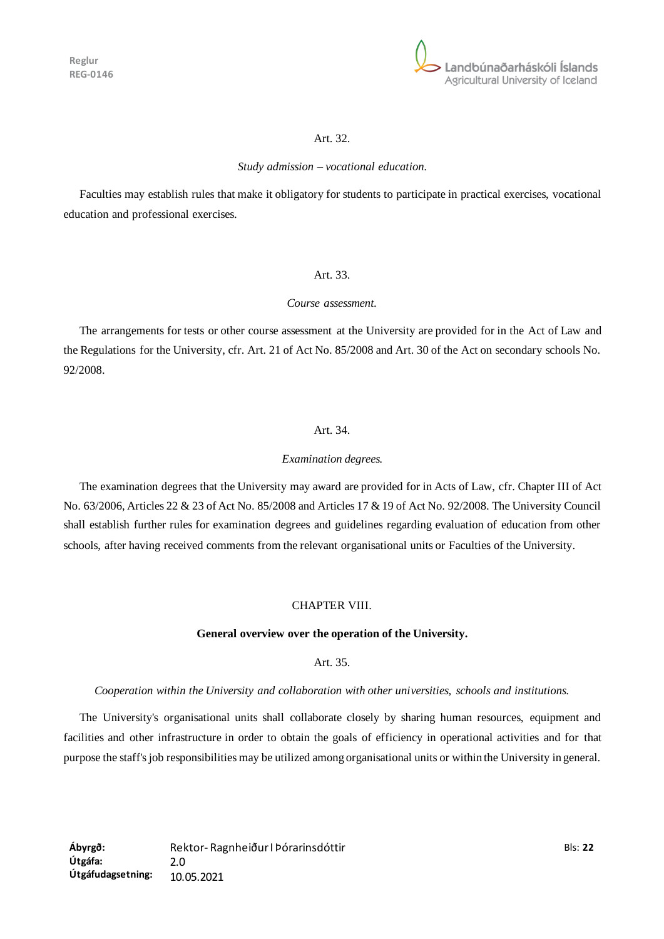

## Art. 32.

### *Study admission – vocational education.*

Faculties may establish rules that make it obligatory for students to participate in practical exercises, vocational education and professional exercises.

## Art. 33.

#### *Course assessment.*

The arrangements for tests or other course assessment at the University are provided for in the Act of Law and the Regulations for the University, cfr. Art. 21 of Act No. 85/2008 and Art. 30 of the Act on secondary schools No. 92/2008.

## Art. 34.

### *Examination degrees.*

The examination degrees that the University may award are provided for in Acts of Law, cfr. Chapter III of Act No. 63/2006, Articles 22 & 23 of Act No. 85/2008 and Articles 17 & 19 of Act No. 92/2008. The University Council shall establish further rules for examination degrees and guidelines regarding evaluation of education from other schools, after having received comments from the relevant organisational units or Faculties of the University.

# CHAPTER VIII.

### **General overview over the operation of the University.**

### Art. 35.

### *Cooperation within the University and collaboration with other universities, schools and institutions.*

The University's organisational units shall collaborate closely by sharing human resources, equipment and facilities and other infrastructure in order to obtain the goals of efficiency in operational activities and for that purpose the staff's job responsibilities may be utilized among organisational units or within the University in general.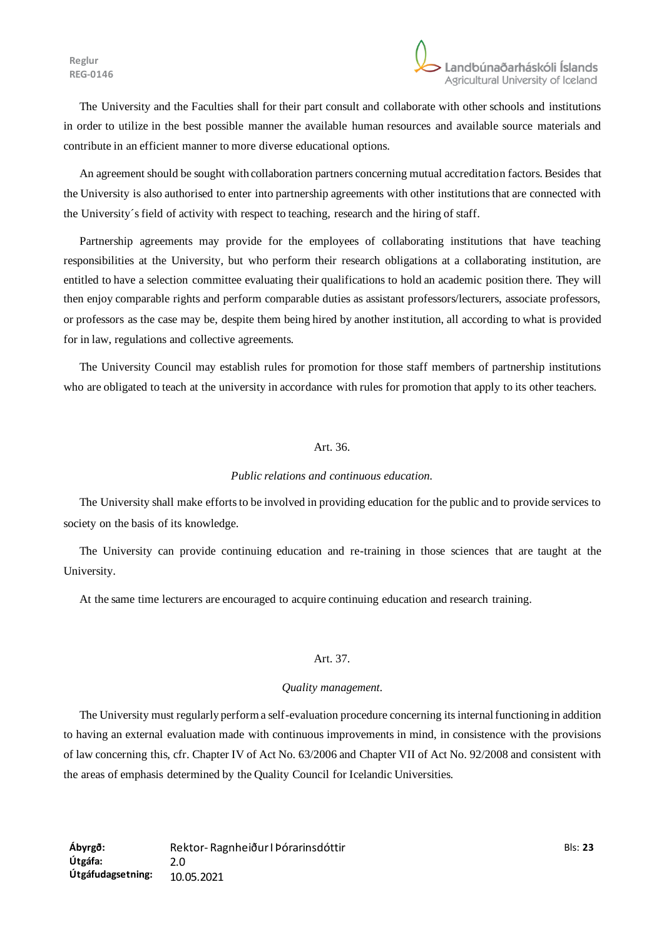The University and the Faculties shall for their part consult and collaborate with other schools and institutions in order to utilize in the best possible manner the available human resources and available source materials and contribute in an efficient manner to more diverse educational options.

An agreement should be sought with collaboration partners concerning mutual accreditation factors. Besides that the University is also authorised to enter into partnership agreements with other institutions that are connected with the University´s field of activity with respect to teaching, research and the hiring of staff.

Partnership agreements may provide for the employees of collaborating institutions that have teaching responsibilities at the University, but who perform their research obligations at a collaborating institution, are entitled to have a selection committee evaluating their qualifications to hold an academic position there. They will then enjoy comparable rights and perform comparable duties as assistant professors/lecturers, associate professors, or professors as the case may be, despite them being hired by another institution, all according to what is provided for in law, regulations and collective agreements.

The University Council may establish rules for promotion for those staff members of partnership institutions who are obligated to teach at the university in accordance with rules for promotion that apply to its other teachers.

### Art. 36.

#### *Public relations and continuous education.*

The University shall make efforts to be involved in providing education for the public and to provide services to society on the basis of its knowledge.

The University can provide continuing education and re-training in those sciences that are taught at the University.

At the same time lecturers are encouraged to acquire continuing education and research training.

### Art. 37.

### *Quality management.*

The University must regularly perform a self-evaluation procedure concerning its internal functioning in addition to having an external evaluation made with continuous improvements in mind, in consistence with the provisions of law concerning this, cfr. Chapter IV of Act No. 63/2006 and Chapter VII of Act No. 92/2008 and consistent with the areas of emphasis determined by the Quality Council for Icelandic Universities.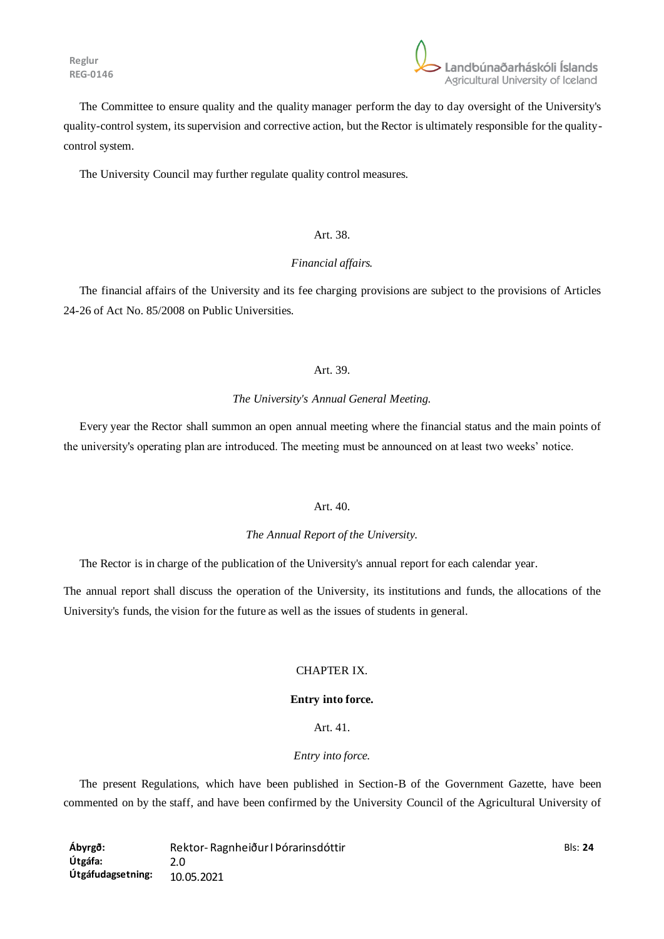

The Committee to ensure quality and the quality manager perform the day to day oversight of the University's quality-control system, its supervision and corrective action, but the Rector is ultimately responsible for the qualitycontrol system.

The University Council may further regulate quality control measures.

### Art. 38.

## *Financial affairs.*

The financial affairs of the University and its fee charging provisions are subject to the provisions of Articles 24-26 of Act No. 85/2008 on Public Universities.

## Art. 39.

### *The University's Annual General Meeting.*

Every year the Rector shall summon an open annual meeting where the financial status and the main points of the university's operating plan are introduced. The meeting must be announced on at least two weeks' notice.

### Art. 40.

### *The Annual Report of the University.*

The Rector is in charge of the publication of the University's annual report for each calendar year.

The annual report shall discuss the operation of the University, its institutions and funds, the allocations of the University's funds, the vision for the future as well as the issues of students in general.

## CHAPTER IX.

### **Entry into force.**

## Art. 41.

## *Entry into force.*

The present Regulations, which have been published in Section-B of the Government Gazette, have been commented on by the staff, and have been confirmed by the University Council of the Agricultural University of